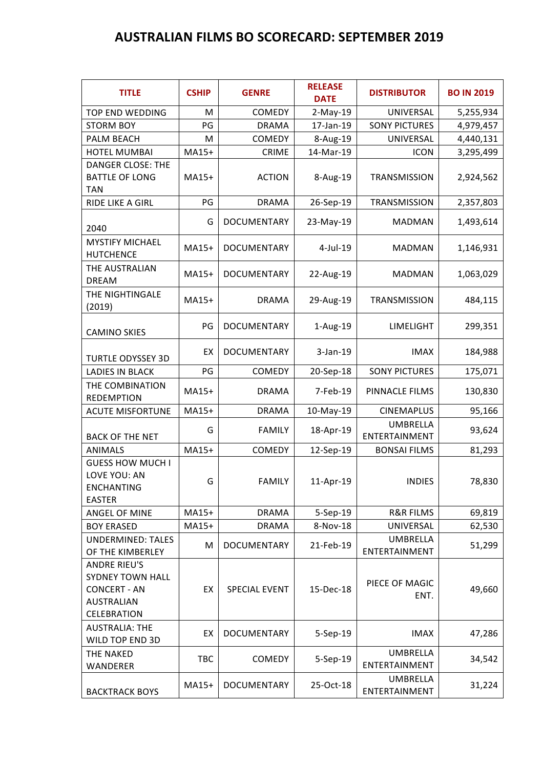## **AUSTRALIAN FILMS BO SCORECARD: SEPTEMBER 2019**

| <b>TITLE</b>                                                                                              | <b>CSHIP</b> | <b>GENRE</b>         | <b>RELEASE</b><br><b>DATE</b> | <b>DISTRIBUTOR</b>               | <b>BO IN 2019</b> |
|-----------------------------------------------------------------------------------------------------------|--------------|----------------------|-------------------------------|----------------------------------|-------------------|
| TOP END WEDDING                                                                                           | M            | COMEDY               | $2-May-19$                    | UNIVERSAL                        | 5,255,934         |
| <b>STORM BOY</b>                                                                                          | PG           | <b>DRAMA</b>         | 17-Jan-19                     | <b>SONY PICTURES</b>             | 4,979,457         |
| PALM BEACH                                                                                                | M            | <b>COMEDY</b>        | 8-Aug-19                      | UNIVERSAL                        | 4,440,131         |
| <b>HOTEL MUMBAI</b>                                                                                       | MA15+        | <b>CRIME</b>         | 14-Mar-19                     | <b>ICON</b>                      | 3,295,499         |
| <b>DANGER CLOSE: THE</b><br><b>BATTLE OF LONG</b><br>TAN                                                  | MA15+        | <b>ACTION</b>        | 8-Aug-19                      | <b>TRANSMISSION</b>              | 2,924,562         |
| RIDE LIKE A GIRL                                                                                          | PG           | <b>DRAMA</b>         | 26-Sep-19                     | TRANSMISSION                     | 2,357,803         |
| 2040                                                                                                      | G            | DOCUMENTARY          | 23-May-19                     | <b>MADMAN</b>                    | 1,493,614         |
| <b>MYSTIFY MICHAEL</b><br><b>HUTCHENCE</b>                                                                | MA15+        | DOCUMENTARY          | 4-Jul-19                      | <b>MADMAN</b>                    | 1,146,931         |
| THE AUSTRALIAN<br><b>DREAM</b>                                                                            | MA15+        | <b>DOCUMENTARY</b>   | 22-Aug-19                     | <b>MADMAN</b>                    | 1,063,029         |
| THE NIGHTINGALE<br>(2019)                                                                                 | MA15+        | <b>DRAMA</b>         | 29-Aug-19                     | TRANSMISSION                     | 484,115           |
| <b>CAMINO SKIES</b>                                                                                       | PG           | DOCUMENTARY          | 1-Aug-19                      | LIMELIGHT                        | 299,351           |
| <b>TURTLE ODYSSEY 3D</b>                                                                                  | EX           | <b>DOCUMENTARY</b>   | $3-Jan-19$                    | <b>IMAX</b>                      | 184,988           |
| <b>LADIES IN BLACK</b>                                                                                    | PG           | COMEDY               | 20-Sep-18                     | <b>SONY PICTURES</b>             | 175,071           |
| THE COMBINATION<br><b>REDEMPTION</b>                                                                      | MA15+        | <b>DRAMA</b>         | 7-Feb-19                      | PINNACLE FILMS                   | 130,830           |
| <b>ACUTE MISFORTUNE</b>                                                                                   | MA15+        | <b>DRAMA</b>         | 10-May-19                     | <b>CINEMAPLUS</b>                | 95,166            |
| <b>BACK OF THE NET</b>                                                                                    | G            | <b>FAMILY</b>        | 18-Apr-19                     | <b>UMBRELLA</b><br>ENTERTAINMENT | 93,624            |
| <b>ANIMALS</b>                                                                                            | MA15+        | COMEDY               | 12-Sep-19                     | <b>BONSAI FILMS</b>              | 81,293            |
| <b>GUESS HOW MUCH I</b><br>LOVE YOU: AN<br><b>ENCHANTING</b><br><b>EASTER</b>                             | G            | <b>FAMILY</b>        | 11-Apr-19                     | <b>INDIES</b>                    | 78,830            |
| <b>ANGEL OF MINE</b>                                                                                      | MA15+        | <b>DRAMA</b>         | 5-Sep-19                      | <b>R&amp;R FILMS</b>             | 69,819            |
| <b>BOY ERASED</b>                                                                                         | MA15+        | <b>DRAMA</b>         | 8-Nov-18                      | UNIVERSAL                        | 62,530            |
| <b>UNDERMINED: TALES</b><br>OF THE KIMBERLEY                                                              | M            | <b>DOCUMENTARY</b>   | 21-Feb-19                     | <b>UMBRELLA</b><br>ENTERTAINMENT | 51,299            |
| <b>ANDRE RIEU'S</b><br><b>SYDNEY TOWN HALL</b><br><b>CONCERT - AN</b><br><b>AUSTRALIAN</b><br>CELEBRATION | EX           | <b>SPECIAL EVENT</b> | 15-Dec-18                     | PIECE OF MAGIC<br>ENT.           | 49,660            |
| <b>AUSTRALIA: THE</b><br>WILD TOP END 3D                                                                  | EX           | <b>DOCUMENTARY</b>   | 5-Sep-19                      | <b>IMAX</b>                      | 47,286            |
| THE NAKED<br>WANDERER                                                                                     | TBC          | COMEDY               | 5-Sep-19                      | <b>UMBRELLA</b><br>ENTERTAINMENT | 34,542            |
| <b>BACKTRACK BOYS</b>                                                                                     | MA15+        | <b>DOCUMENTARY</b>   | 25-Oct-18                     | UMBRELLA<br>ENTERTAINMENT        | 31,224            |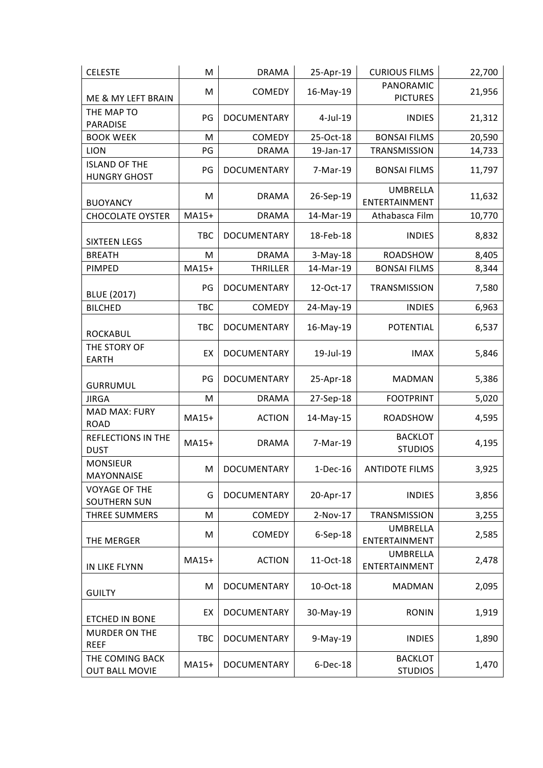| <b>CELESTE</b>                              | M          | <b>DRAMA</b>       | 25-Apr-19   | <b>CURIOUS FILMS</b>             | 22,700 |
|---------------------------------------------|------------|--------------------|-------------|----------------------------------|--------|
|                                             | M          | COMEDY             | 16-May-19   | PANORAMIC                        | 21,956 |
| ME & MY LEFT BRAIN                          |            |                    |             | <b>PICTURES</b>                  |        |
| THE MAP TO                                  | PG         | DOCUMENTARY        | $4$ -Jul-19 | <b>INDIES</b>                    | 21,312 |
| PARADISE                                    |            |                    |             |                                  |        |
| <b>BOOK WEEK</b>                            | M          | COMEDY             | 25-Oct-18   | <b>BONSAI FILMS</b>              | 20,590 |
| <b>LION</b>                                 | PG         | <b>DRAMA</b>       | 19-Jan-17   | TRANSMISSION                     | 14,733 |
| <b>ISLAND OF THE</b><br><b>HUNGRY GHOST</b> | PG         | DOCUMENTARY        | 7-Mar-19    | <b>BONSAI FILMS</b>              | 11,797 |
| <b>BUOYANCY</b>                             | M          | <b>DRAMA</b>       | 26-Sep-19   | <b>UMBRELLA</b><br>ENTERTAINMENT | 11,632 |
| <b>CHOCOLATE OYSTER</b>                     | MA15+      | <b>DRAMA</b>       | 14-Mar-19   | Athabasca Film                   | 10,770 |
| <b>SIXTEEN LEGS</b>                         | <b>TBC</b> | DOCUMENTARY        | 18-Feb-18   | <b>INDIES</b>                    | 8,832  |
| <b>BREATH</b>                               | M          | <b>DRAMA</b>       | $3-May-18$  | <b>ROADSHOW</b>                  | 8,405  |
| PIMPED                                      | MA15+      | <b>THRILLER</b>    | 14-Mar-19   | <b>BONSAI FILMS</b>              | 8,344  |
| <b>BLUE (2017)</b>                          | PG         | <b>DOCUMENTARY</b> | 12-Oct-17   | TRANSMISSION                     | 7,580  |
| <b>BILCHED</b>                              | TBC        | COMEDY             | 24-May-19   | <b>INDIES</b>                    | 6,963  |
| <b>ROCKABUL</b>                             | TBC        | DOCUMENTARY        | 16-May-19   | <b>POTENTIAL</b>                 | 6,537  |
| THE STORY OF<br><b>EARTH</b>                | EX         | DOCUMENTARY        | 19-Jul-19   | <b>IMAX</b>                      | 5,846  |
| <b>GURRUMUL</b>                             | PG         | DOCUMENTARY        | 25-Apr-18   | <b>MADMAN</b>                    | 5,386  |
| <b>JIRGA</b>                                | M          | <b>DRAMA</b>       | 27-Sep-18   | <b>FOOTPRINT</b>                 | 5,020  |
| <b>MAD MAX: FURY</b><br><b>ROAD</b>         | MA15+      | <b>ACTION</b>      | 14-May-15   | <b>ROADSHOW</b>                  | 4,595  |
| <b>REFLECTIONS IN THE</b><br><b>DUST</b>    | MA15+      | <b>DRAMA</b>       | 7-Mar-19    | <b>BACKLOT</b><br><b>STUDIOS</b> | 4,195  |
| <b>MONSIEUR</b><br><b>MAYONNAISE</b>        | M          | <b>DOCUMENTARY</b> | $1-Dec-16$  | <b>ANTIDOTE FILMS</b>            | 3,925  |
| <b>VOYAGE OF THE</b><br><b>SOUTHERN SUN</b> | G          | <b>DOCUMENTARY</b> | 20-Apr-17   | <b>INDIES</b>                    | 3,856  |
| THREE SUMMERS                               | M          | COMEDY             | $2-Nov-17$  | TRANSMISSION                     | 3,255  |
| THE MERGER                                  | M          | COMEDY             | 6-Sep-18    | <b>UMBRELLA</b><br>ENTERTAINMENT | 2,585  |
| IN LIKE FLYNN                               | MA15+      | <b>ACTION</b>      | 11-Oct-18   | <b>UMBRELLA</b><br>ENTERTAINMENT | 2,478  |
| <b>GUILTY</b>                               | M          | <b>DOCUMENTARY</b> | 10-Oct-18   | <b>MADMAN</b>                    | 2,095  |
| ETCHED IN BONE                              | EX         | DOCUMENTARY        | 30-May-19   | <b>RONIN</b>                     | 1,919  |
| <b>MURDER ON THE</b><br><b>REEF</b>         | TBC        | <b>DOCUMENTARY</b> | 9-May-19    | <b>INDIES</b>                    | 1,890  |
| THE COMING BACK<br><b>OUT BALL MOVIE</b>    | MA15+      | <b>DOCUMENTARY</b> | 6-Dec-18    | <b>BACKLOT</b><br><b>STUDIOS</b> | 1,470  |